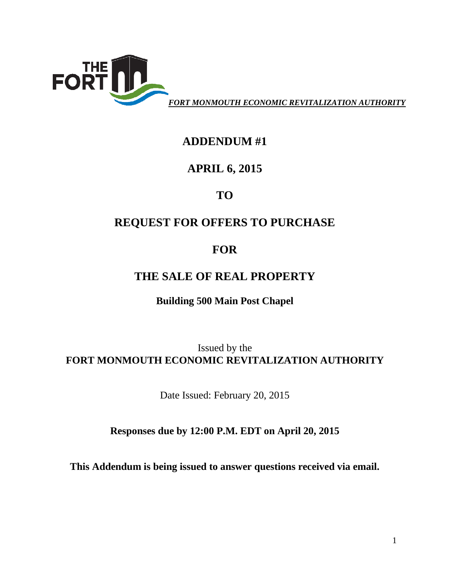

## **ADDENDUM #1**

## **APRIL 6, 2015**

# **TO**

# **REQUEST FOR OFFERS TO PURCHASE**

# **FOR**

## **THE SALE OF REAL PROPERTY**

### **Building 500 Main Post Chapel**

### Issued by the **FORT MONMOUTH ECONOMIC REVITALIZATION AUTHORITY**

Date Issued: February 20, 2015

### **Responses due by 12:00 P.M. EDT on April 20, 2015**

**This Addendum is being issued to answer questions received via email.**